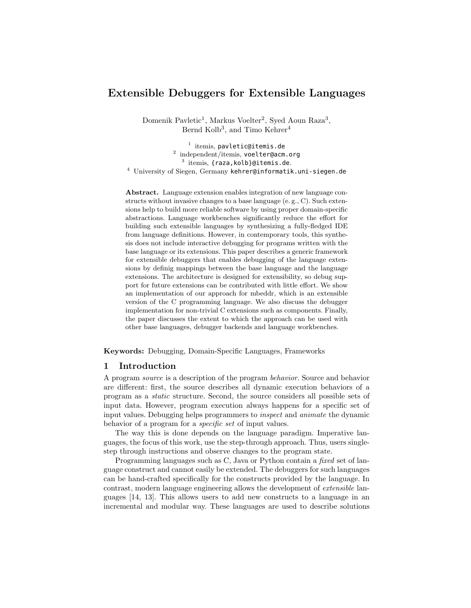# Extensible Debuggers for Extensible Languages

Domenik Pavletic<sup>1</sup>, Markus Voelter<sup>2</sup>, Syed Aoun Raza<sup>3</sup>, Bernd Kolb<sup>3</sup>, and Timo Kehrer<sup>4</sup>

<sup>1</sup> itemis, pavletic@itemis.de  $^2$  independent/itemis, voelter@acm.org  $^3$  itemis, {raza, kolb}@itemis.de. <sup>4</sup> University of Siegen, Germany kehrer@informatik.uni-siegen.de

Abstract. Language extension enables integration of new language constructs without invasive changes to a base language (e. g., C). Such extensions help to build more reliable software by using proper domain-specific abstractions. Language workbenches significantly reduce the effort for building such extensible languages by synthesizing a fully-fledged IDE from language definitions. However, in contemporary tools, this synthesis does not include interactive debugging for programs written with the base language or its extensions. This paper describes a generic framework for extensible debuggers that enables debugging of the language extensions by definig mappings between the base language and the language extensions. The architecture is designed for extensibility, so debug support for future extensions can be contributed with little effort. We show an implementation of our approach for mbeddr, which is an extensible version of the C programming language. We also discuss the debugger implementation for non-trivial C extensions such as components. Finally, the paper discusses the extent to which the approach can be used with other base languages, debugger backends and language workbenches.

Keywords: Debugging, Domain-Specific Languages, Frameworks

## 1 Introduction

A program source is a description of the program behavior. Source and behavior are different: first, the source describes all dynamic execution behaviors of a program as a static structure. Second, the source considers all possible sets of input data. However, program execution always happens for a specific set of input values. Debugging helps programmers to inspect and animate the dynamic behavior of a program for a *specific set* of input values.

The way this is done depends on the language paradigm. Imperative languages, the focus of this work, use the step-through approach. Thus, users singlestep through instructions and observe changes to the program state.

Programming languages such as C, Java or Python contain a fixed set of language construct and cannot easily be extended. The debuggers for such languages can be hand-crafted specifically for the constructs provided by the language. In contrast, modern language engineering allows the development of extensible languages [\[14,](#page-13-0) [13\]](#page-13-1). This allows users to add new constructs to a language in an incremental and modular way. These languages are used to describe solutions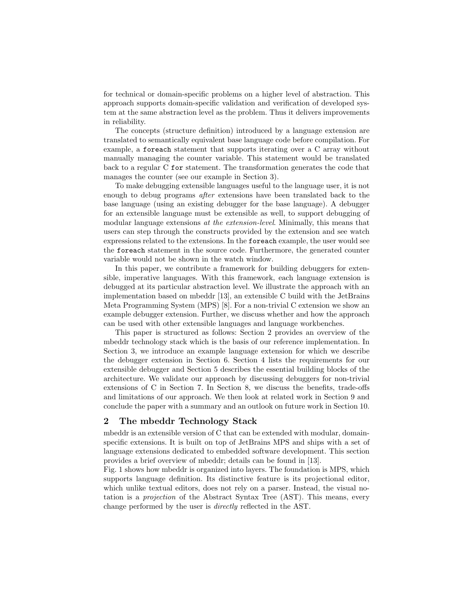for technical or domain-specific problems on a higher level of abstraction. This approach supports domain-specific validation and verification of developed system at the same abstraction level as the problem. Thus it delivers improvements in reliability.

The concepts (structure definition) introduced by a language extension are translated to semantically equivalent base language code before compilation. For example, a foreach statement that supports iterating over a C array without manually managing the counter variable. This statement would be translated back to a regular C for statement. The transformation generates the code that manages the counter (see our example in Section [3\)](#page-2-0).

To make debugging extensible languages useful to the language user, it is not enough to debug programs after extensions have been translated back to the base language (using an existing debugger for the base language). A debugger for an extensible language must be extensible as well, to support debugging of modular language extensions at the extension-level. Minimally, this means that users can step through the constructs provided by the extension and see watch expressions related to the extensions. In the foreach example, the user would see the foreach statement in the source code. Furthermore, the generated counter variable would not be shown in the watch window.

In this paper, we contribute a framework for building debuggers for extensible, imperative languages. With this framework, each language extension is debugged at its particular abstraction level. We illustrate the approach with an implementation based on mbeddr [\[13\]](#page-13-1), an extensible C build with the JetBrains Meta Programming System (MPS) [\[8\]](#page-13-2). For a non-trivial C extension we show an example debugger extension. Further, we discuss whether and how the approach can be used with other extensible languages and language workbenches.

This paper is structured as follows: Section [2](#page-1-0) provides an overview of the mbeddr technology stack which is the basis of our reference implementation. In Section [3,](#page-2-0) we introduce an example language extension for which we describe the debugger extension in Section [6.](#page-6-0) Section [4](#page-3-0) lists the requirements for our extensible debugger and Section [5](#page-4-0) describes the essential building blocks of the architecture. We validate our approach by discussing debuggers for non-trivial extensions of C in Section [7.](#page-8-0) In Section [8,](#page-9-0) we discuss the benefits, trade-offs and limitations of our approach. We then look at related work in Section [9](#page-11-0) and conclude the paper with a summary and an outlook on future work in Section [10.](#page-12-0)

## <span id="page-1-0"></span>2 The mbeddr Technology Stack

mbeddr is an extensible version of C that can be extended with modular, domainspecific extensions. It is built on top of JetBrains MPS and ships with a set of language extensions dedicated to embedded software development. This section provides a brief overview of mbeddr; details can be found in [\[13\]](#page-13-1).

Fig. [1](#page-2-1) shows how mbeddr is organized into layers. The foundation is MPS, which supports language definition. Its distinctive feature is its projectional editor, which unlike textual editors, does not rely on a parser. Instead, the visual notation is a projection of the Abstract Syntax Tree (AST). This means, every change performed by the user is directly reflected in the AST.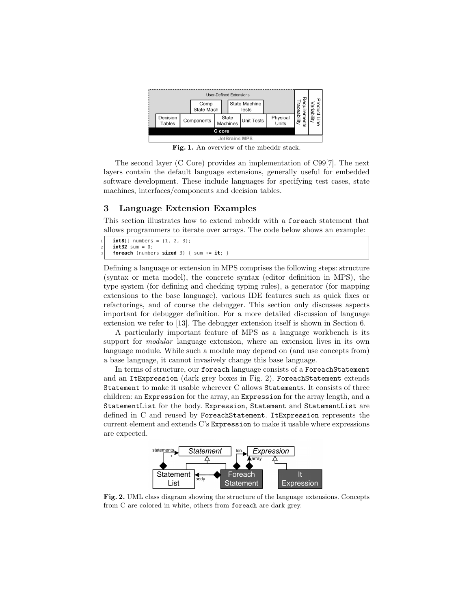|                      | <b>User-Defined Extensions</b> |  |                    |  |                   |                               |                   |                                      |                             |
|----------------------|--------------------------------|--|--------------------|--|-------------------|-------------------------------|-------------------|--------------------------------------|-----------------------------|
|                      |                                |  | Comp<br>State Mach |  |                   | <b>State Machine</b><br>Tests |                   |                                      | Product Line<br>Variability |
|                      | Decision<br>Tables             |  | Components         |  | State<br>Machines | Unit Tests                    | Physical<br>Units | Requirements<br>Traceabilit <u>y</u> |                             |
| C core               |                                |  |                    |  |                   |                               |                   |                                      |                             |
| <b>JetBrains MPS</b> |                                |  |                    |  |                   |                               |                   |                                      |                             |

<span id="page-2-1"></span>Fig. 1. An overview of the mbeddr stack.

The second layer (C Core) provides an implementation of C99[\[7\]](#page-13-3). The next layers contain the default language extensions, generally useful for embedded software development. These include languages for specifying test cases, state machines, interfaces/components and decision tables.

## <span id="page-2-0"></span>3 Language Extension Examples

This section illustrates how to extend mbeddr with a foreach statement that allows programmers to iterate over arrays. The code below shows an example:

```
int8[] numbers = {1, 2, 3};int32 sum = 0;
3 foreach (numbers sized 3) { sum += it; }
```
Defining a language or extension in MPS comprises the following steps: structure (syntax or meta model), the concrete syntax (editor definition in MPS), the type system (for defining and checking typing rules), a generator (for mapping extensions to the base language), various IDE features such as quick fixes or refactorings, and of course the debugger. This section only discusses aspects important for debugger definition. For a more detailed discussion of language extension we refer to [\[13\]](#page-13-1). The debugger extension itself is shown in Section [6.](#page-6-0)

A particularly important feature of MPS as a language workbench is its support for *modular* language extension, where an extension lives in its own language module. While such a module may depend on (and use concepts from) a base language, it cannot invasively change this base language.

In terms of structure, our foreach language consists of a ForeachStatement and an ItExpression (dark grey boxes in Fig. [2\)](#page-2-2). ForeachStatement extends Statement to make it usable wherever C allows Statements. It consists of three children: an Expression for the array, an Expression for the array length, and a StatementList for the body. Expression, Statement and StatementList are defined in C and reused by ForeachStatement. ItExpression represents the current element and extends C's Expression to make it usable where expressions are expected.



<span id="page-2-2"></span>Fig. 2. UML class diagram showing the structure of the language extensions. Concepts from C are colored in white, others from foreach are dark grey.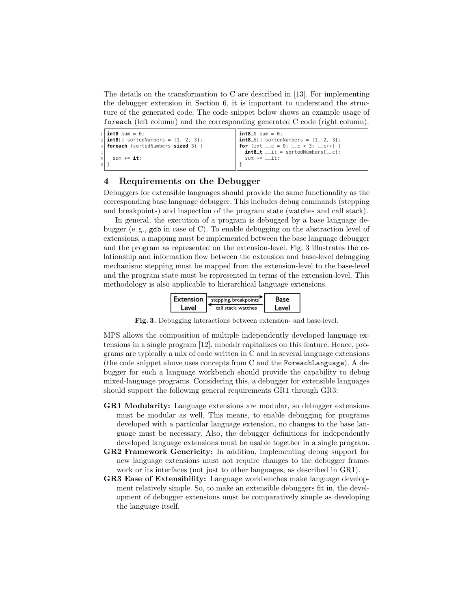The details on the transformation to C are described in [\[13\]](#page-13-1). For implementing the debugger extension in Section [6,](#page-6-0) it is important to understand the structure of the generated code. The code snippet below shows an example usage of foreach (left column) and the corresponding generated C code (right column).

|               | $1$ int8 sum = 0:                        | $\parallel$ <code>int8_t</code> sum = 0:     |
|---------------|------------------------------------------|----------------------------------------------|
|               | $_2$   int8[] sortedNumbers = {1, 2, 3}; | $\ $ int8_t[] sortedNumbers = {1, 2, 3};     |
|               | 3   foreach (sortedNumbers sized 3) {    | <b>  for</b> (int __c = 0; __c < 3; __c++) { |
|               |                                          | $int8_t = it = sortedNumbers[-c];$           |
| 5             | sum += <b>it</b> :                       | $sum +=$ $_{-1}it$ :                         |
| $\frac{1}{6}$ |                                          |                                              |

## <span id="page-3-0"></span>4 Requirements on the Debugger

Debuggers for extensible languages should provide the same functionality as the corresponding base language debugger. This includes debug commands (stepping and breakpoints) and inspection of the program state (watches and call stack).

In general, the execution of a program is debugged by a base language debugger (e. g., gdb in case of C). To enable debugging on the abstraction level of extensions, a mapping must be implemented between the base language debugger and the program as represented on the extension-level. Fig. [3](#page-3-1) illustrates the relationship and information flow between the extension and base-level debugging mechanism: stepping must be mapped from the extension-level to the base-level and the program state must be represented in terms of the extension-level. This methodology is also applicable to hierarchical language extensions.

<span id="page-3-1"></span>

Fig. 3. Debugging interactions between extension- and base-level.

MPS allows the composition of multiple independently developed language extensions in a single program [\[12\]](#page-13-4). mbeddr capitalizes on this feature. Hence, programs are typically a mix of code written in C and in several language extensions (the code snippet above uses concepts from C and the ForeachLanguage). A debugger for such a language workbench should provide the capability to debug mixed-language programs. Considering this, a debugger for extensible languages should support the following general requirements GR1 through GR3:

- GR1 Modularity: Language extensions are modular, so debugger extensions must be modular as well. This means, to enable debugging for programs developed with a particular language extension, no changes to the base language must be necessary. Also, the debugger definitions for independently developed language extensions must be usable together in a single program.
- GR2 Framework Genericity: In addition, implementing debug support for new language extensions must not require changes to the debugger framework or its interfaces (not just to other languages, as described in GR1).
- GR3 Ease of Extensibility: Language workbenches make language development relatively simple. So, to make an extensible debuggers fit in, the development of debugger extensions must be comparatively simple as developing the language itself.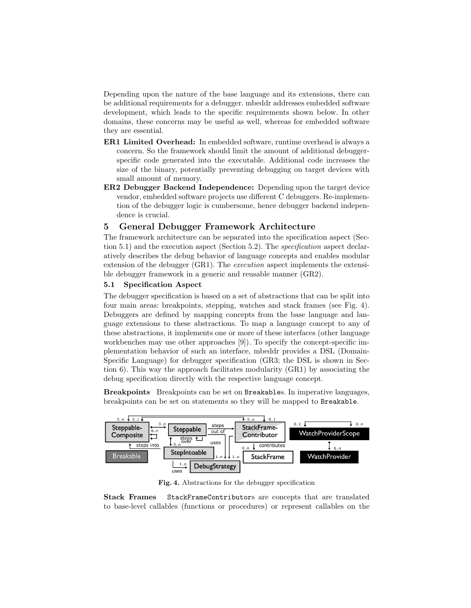Depending upon the nature of the base language and its extensions, there can be additional requirements for a debugger. mbeddr addresses embedded software development, which leads to the specific requirements shown below. In other domains, these concerns may be useful as well, whereas for embedded software they are essential.

- ER1 Limited Overhead: In embedded software, runtime overhead is always a concern. So the framework should limit the amount of additional debuggerspecific code generated into the executable. Additional code increases the size of the binary, potentially preventing debugging on target devices with small amount of memory.
- ER2 Debugger Backend Independence: Depending upon the target device vendor, embedded software projects use different C debuggers. Re-implemention of the debugger logic is cumbersome, hence debugger backend independence is crucial.

## <span id="page-4-0"></span>5 General Debugger Framework Architecture

The framework architecture can be separated into the specification aspect (Sec-tion [5.1\)](#page-4-1) and the execution aspect (Section [5.2\)](#page-5-0). The *specification* aspect declaratively describes the debug behavior of language concepts and enables modular extension of the debugger (GR1). The *execution* aspect implements the extensible debugger framework in a generic and reusable manner (GR2).

#### <span id="page-4-1"></span>5.1 Specification Aspect

The debugger specification is based on a set of abstractions that can be split into four main areas: breakpoints, stepping, watches and stack frames (see Fig. [4\)](#page-4-2). Debuggers are defined by mapping concepts from the base language and language extensions to these abstractions. To map a language concept to any of these abstractions, it implements one or more of these interfaces (other language workbenches may use other approaches [\[9\]](#page-13-5)). To specify the concept-specific implementation behavior of such an interface, mbeddr provides a DSL (Domain-Specific Language) for debugger specification (GR3; the DSL is shown in Section [6\)](#page-6-0). This way the approach facilitates modularity (GR1) by associating the debug specification directly with the respective language concept.

Breakpoints Breakpoints can be set on Breakables. In imperative languages, breakpoints can be set on statements so they will be mapped to Breakable.



<span id="page-4-2"></span>Fig. 4. Abstractions for the debugger specification

Stack Frames StackFrameContributors are concepts that are translated to base-level callables (functions or procedures) or represent callables on the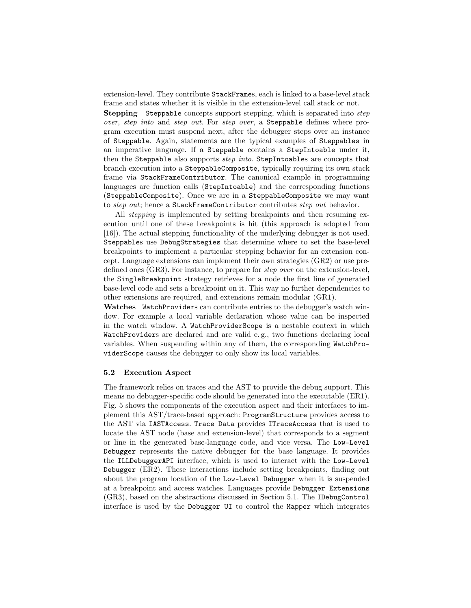extension-level. They contribute StackFrames, each is linked to a base-level stack frame and states whether it is visible in the extension-level call stack or not.

Stepping Steppable concepts support stepping, which is separated into *step* over, step into and step out. For step over, a Steppable defines where program execution must suspend next, after the debugger steps over an instance of Steppable. Again, statements are the typical examples of Steppables in an imperative language. If a Steppable contains a StepIntoable under it, then the Steppable also supports *step into*. StepIntoables are concepts that branch execution into a SteppableComposite, typically requiring its own stack frame via StackFrameContributor. The canonical example in programming languages are function calls (StepIntoable) and the corresponding functions (SteppableComposite). Once we are in a SteppableComposite we may want to *step out*; hence a StackFrameContributor contributes *step out* behavior.

All stepping is implemented by setting breakpoints and then resuming execution until one of these breakpoints is hit (this approach is adopted from [\[16\]](#page-13-6)). The actual stepping functionality of the underlying debugger is not used. Steppables use DebugStrategies that determine where to set the base-level breakpoints to implement a particular stepping behavior for an extension concept. Language extensions can implement their own strategies (GR2) or use predefined ones (GR3). For instance, to prepare for step over on the extension-level, the SingleBreakpoint strategy retrieves for a node the first line of generated base-level code and sets a breakpoint on it. This way no further dependencies to other extensions are required, and extensions remain modular (GR1).

Watches WatchProviders can contribute entries to the debugger's watch window. For example a local variable declaration whose value can be inspected in the watch window. A WatchProviderScope is a nestable context in which WatchProviders are declared and are valid e. g., two functions declaring local variables. When suspending within any of them, the corresponding WatchProviderScope causes the debugger to only show its local variables.

### <span id="page-5-0"></span>5.2 Execution Aspect

The framework relies on traces and the AST to provide the debug support. This means no debugger-specific code should be generated into the executable (ER1). Fig. [5](#page-6-1) shows the components of the execution aspect and their interfaces to implement this AST/trace-based approach: ProgramStructure provides access to the AST via IASTAccess. Trace Data provides ITraceAccess that is used to locate the AST node (base and extension-level) that corresponds to a segment or line in the generated base-language code, and vice versa. The Low-Level Debugger represents the native debugger for the base language. It provides the ILLDebuggerAPI interface, which is used to interact with the Low-Level Debugger (ER2). These interactions include setting breakpoints, finding out about the program location of the Low-Level Debugger when it is suspended at a breakpoint and access watches. Languages provide Debugger Extensions (GR3), based on the abstractions discussed in Section [5.1.](#page-4-1) The IDebugControl interface is used by the Debugger UI to control the Mapper which integrates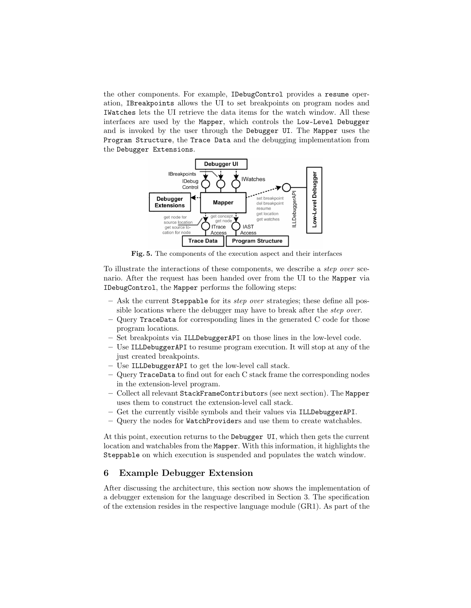the other components. For example, IDebugControl provides a resume operation, IBreakpoints allows the UI to set breakpoints on program nodes and IWatches lets the UI retrieve the data items for the watch window. All these interfaces are used by the Mapper, which controls the Low-Level Debugger and is invoked by the user through the Debugger UI. The Mapper uses the Program Structure, the Trace Data and the debugging implementation from the Debugger Extensions.



<span id="page-6-1"></span>Fig. 5. The components of the execution aspect and their interfaces

To illustrate the interactions of these components, we describe a step over scenario. After the request has been handed over from the UI to the Mapper via IDebugControl, the Mapper performs the following steps:

- $-$  Ask the current Steppable for its *step over* strategies; these define all possible locations where the debugger may have to break after the step over.
- Query TraceData for corresponding lines in the generated C code for those program locations.
- Set breakpoints via ILLDebuggerAPI on those lines in the low-level code.
- Use ILLDebuggerAPI to resume program execution. It will stop at any of the just created breakpoints.
- Use ILLDebuggerAPI to get the low-level call stack.
- Query TraceData to find out for each C stack frame the corresponding nodes in the extension-level program.
- Collect all relevant StackFrameContributors (see next section). The Mapper uses them to construct the extension-level call stack.
- Get the currently visible symbols and their values via ILLDebuggerAPI.
- Query the nodes for WatchProviders and use them to create watchables.

At this point, execution returns to the Debugger UI, which then gets the current location and watchables from the Mapper. With this information, it highlights the Steppable on which execution is suspended and populates the watch window.

# <span id="page-6-0"></span>6 Example Debugger Extension

After discussing the architecture, this section now shows the implementation of a debugger extension for the language described in Section [3.](#page-2-0) The specification of the extension resides in the respective language module (GR1). As part of the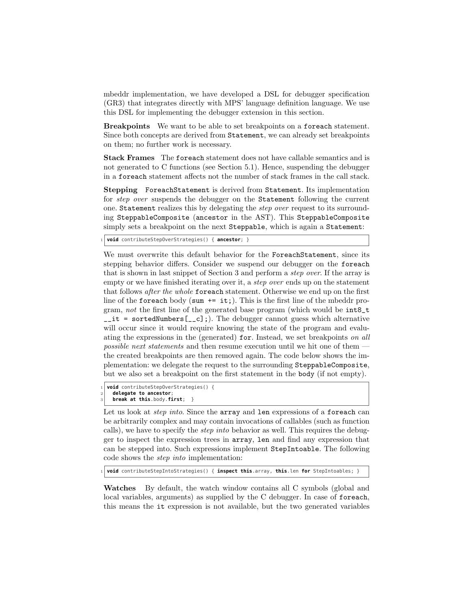mbeddr implementation, we have developed a DSL for debugger specification (GR3) that integrates directly with MPS' language definition language. We use this DSL for implementing the debugger extension in this section.

Breakpoints We want to be able to set breakpoints on a foreach statement. Since both concepts are derived from Statement, we can already set breakpoints on them; no further work is necessary.

Stack Frames The foreach statement does not have callable semantics and is not generated to C functions (see Section [5.1\)](#page-4-1). Hence, suspending the debugger in a foreach statement affects not the number of stack frames in the call stack.

Stepping ForeachStatement is derived from Statement. Its implementation for step over suspends the debugger on the Statement following the current one. Statement realizes this by delegating the step over request to its surrounding SteppableComposite (ancestor in the AST). This SteppableComposite simply sets a breakpoint on the next Steppable, which is again a Statement:

1 **void** contributeStepOverStrategies() { **ancestor**; }

We must overwrite this default behavior for the ForeachStatement, since its stepping behavior differs. Consider we suspend our debugger on the foreach that is shown in last snippet of Section [3](#page-2-0) and perform a step over. If the array is empty or we have finished iterating over it, a step over ends up on the statement that follows after the whole foreach statement. Otherwise we end up on the first line of the foreach body (sum  $+=$  it;). This is the first line of the mbeddr program, not the first line of the generated base program (which would be int8\_t  $\text{__it = sortedNumbers}[\text{__c}];$  The debugger cannot guess which alternative will occur since it would require knowing the state of the program and evaluating the expressions in the (generated) for. Instead, we set breakpoints on all possible next statements and then resume execution until we hit one of them the created breakpoints are then removed again. The code below shows the implementation: we delegate the request to the surrounding SteppableComposite, but we also set a breakpoint on the first statement in the body (if not empty).

**void** contributeStepOverStrategies() {

```
2 delegate to ancestor;
3 break at this.body.first; }
```
Let us look at *step into*. Since the array and len expressions of a foreach can be arbitrarily complex and may contain invocations of callables (such as function calls), we have to specify the step into behavior as well. This requires the debugger to inspect the expression trees in array, len and find any expression that can be stepped into. Such expressions implement StepIntoable. The following code shows the step into implementation:

1 **void** contributeStepIntoStrategies() { **inspect this**.array, **this**.len **for** StepIntoables; }

Watches By default, the watch window contains all C symbols (global and local variables, arguments) as supplied by the C debugger. In case of foreach, this means the it expression is not available, but the two generated variables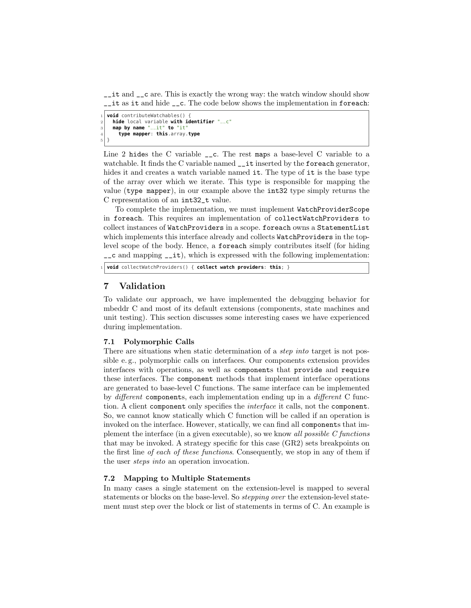\_\_it and \_\_c are. This is exactly the wrong way: the watch window should show \_\_it as it and hide \_\_c. The code below shows the implementation in foreach:

```
void contributeWatchables() {
    hide local variable with identifier
   3 map by name "__it" to "it"
      4 type mapper: this.array.type
5 }
```
Line 2 hides the C variable \_\_c. The rest maps a base-level C variable to a watchable. It finds the C variable named \_\_it inserted by the foreach generator, hides it and creates a watch variable named it. The type of it is the base type of the array over which we iterate. This type is responsible for mapping the value (type mapper), in our example above the int32 type simply returns the C representation of an int32\_t value.

To complete the implementation, we must implement WatchProviderScope in foreach. This requires an implementation of collectWatchProviders to collect instances of WatchProviders in a scope. foreach owns a StatementList which implements this interface already and collects  $\texttt{MatchProviders}$  in the toplevel scope of the body. Hence, a foreach simply contributes itself (for hiding  $\Box$  c and mapping  $\Box$  it), which is expressed with the following implementation:

1 **void** collectWatchProviders() { **collect watch providers**: **this**; }

## <span id="page-8-0"></span>7 Validation

To validate our approach, we have implemented the debugging behavior for mbeddr C and most of its default extensions (components, state machines and unit testing). This section discusses some interesting cases we have experienced during implementation.

#### 7.1 Polymorphic Calls

There are situations when static determination of a *step into* target is not possible e. g., polymorphic calls on interfaces. Our components extension provides interfaces with operations, as well as components that provide and require these interfaces. The component methods that implement interface operations are generated to base-level C functions. The same interface can be implemented by different components, each implementation ending up in a different C function. A client component only specifies the *interface* it calls, not the component. So, we cannot know statically which C function will be called if an operation is invoked on the interface. However, statically, we can find all components that implement the interface (in a given executable), so we know all possible C functions that may be invoked. A strategy specific for this case (GR2) sets breakpoints on the first line of each of these functions. Consequently, we stop in any of them if the user *steps into* an operation invocation.

### 7.2 Mapping to Multiple Statements

In many cases a single statement on the extension-level is mapped to several statements or blocks on the base-level. So stepping over the extension-level statement must step over the block or list of statements in terms of C. An example is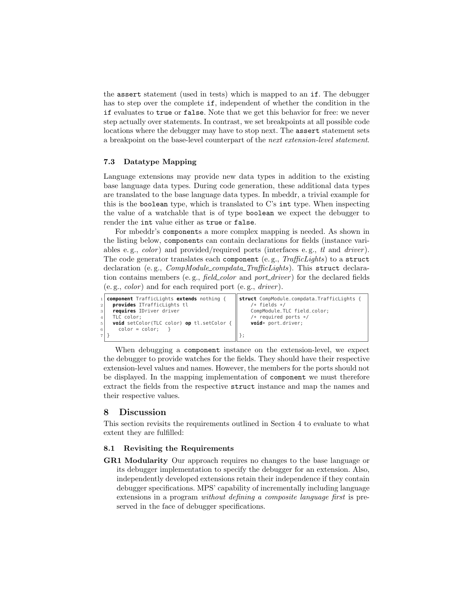the assert statement (used in tests) which is mapped to an if. The debugger has to step over the complete if, independent of whether the condition in the if evaluates to true or false. Note that we get this behavior for free: we never step actually over statements. In contrast, we set breakpoints at all possible code locations where the debugger may have to stop next. The assert statement sets a breakpoint on the base-level counterpart of the next extension-level statement.

### 7.3 Datatype Mapping

Language extensions may provide new data types in addition to the existing base language data types. During code generation, these additional data types are translated to the base language data types. In mbeddr, a trivial example for this is the boolean type, which is translated to C's int type. When inspecting the value of a watchable that is of type boolean we expect the debugger to render the int value either as true or false.

For mbeddr's components a more complex mapping is needed. As shown in the listing below, components can contain declarations for fields (instance variables e.g.,  $color$ ) and provided/required ports (interfaces e.g.,  $tl$  and  $driver$ ). The code generator translates each component (e.g.,  $TrafficLights$ ) to a struct declaration (e.g., CompModule\_compdata\_TrafficLights). This struct declaration contains members (e.g., *field\_color* and *port\_driver*) for the declared fields  $(e.g., color)$  and for each required port  $(e.g., driver)$ .

|                | 1 component TrafficLights extends nothing {      | <b>struct</b> CompModule_compdata_TrafficLights { |
|----------------|--------------------------------------------------|---------------------------------------------------|
| 2              | provides ITrafficLights tl                       | $/*$ fields $*/$                                  |
| $\frac{3}{3}$  | requires IDriver driver                          | CompModule_TLC field_color;                       |
| $\overline{4}$ | TLC color;                                       | /* required ports $*/$                            |
|                | <b>void</b> setColor(TLC color) op tl.setColor { | void* port_driver;                                |
| 6              | $color = color;$ }                               |                                                   |
| 7 <sup>1</sup> |                                                  |                                                   |
|                |                                                  |                                                   |

When debugging a component instance on the extension-level, we expect the debugger to provide watches for the fields. They should have their respective extension-level values and names. However, the members for the ports should not be displayed. In the mapping implementation of component we must therefore extract the fields from the respective struct instance and map the names and their respective values.

## <span id="page-9-0"></span>8 Discussion

This section revisits the requirements outlined in Section [4](#page-3-0) to evaluate to what extent they are fulfilled:

### 8.1 Revisiting the Requirements

GR1 Modularity Our approach requires no changes to the base language or its debugger implementation to specify the debugger for an extension. Also, independently developed extensions retain their independence if they contain debugger specifications. MPS' capability of incrementally including language extensions in a program without defining a composite language first is preserved in the face of debugger specifications.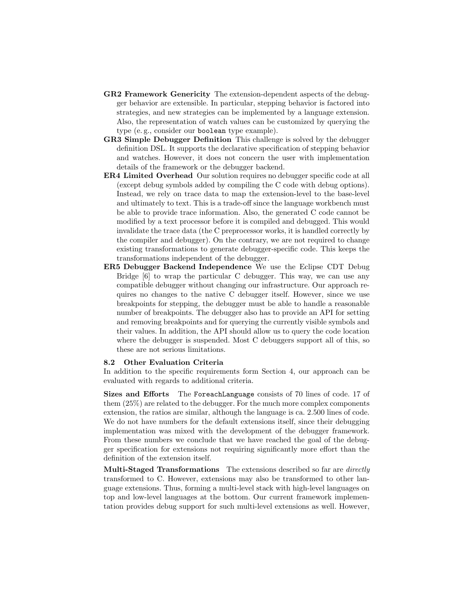- GR2 Framework Genericity The extension-dependent aspects of the debugger behavior are extensible. In particular, stepping behavior is factored into strategies, and new strategies can be implemented by a language extension. Also, the representation of watch values can be customized by querying the type (e. g., consider our boolean type example).
- GR3 Simple Debugger Definition This challenge is solved by the debugger definition DSL. It supports the declarative specification of stepping behavior and watches. However, it does not concern the user with implementation details of the framework or the debugger backend.
- ER4 Limited Overhead Our solution requires no debugger specific code at all (except debug symbols added by compiling the C code with debug options). Instead, we rely on trace data to map the extension-level to the base-level and ultimately to text. This is a trade-off since the language workbench must be able to provide trace information. Also, the generated C code cannot be modified by a text processor before it is compiled and debugged. This would invalidate the trace data (the C preprocessor works, it is handled correctly by the compiler and debugger). On the contrary, we are not required to change existing transformations to generate debugger-specific code. This keeps the transformations independent of the debugger.
- ER5 Debugger Backend Independence We use the Eclipse CDT Debug Bridge [\[6\]](#page-13-7) to wrap the particular C debugger. This way, we can use any compatible debugger without changing our infrastructure. Our approach requires no changes to the native C debugger itself. However, since we use breakpoints for stepping, the debugger must be able to handle a reasonable number of breakpoints. The debugger also has to provide an API for setting and removing breakpoints and for querying the currently visible symbols and their values. In addition, the API should allow us to query the code location where the debugger is suspended. Most C debuggers support all of this, so these are not serious limitations.

#### 8.2 Other Evaluation Criteria

In addition to the specific requirements form Section [4,](#page-3-0) our approach can be evaluated with regards to additional criteria.

Sizes and Efforts The ForeachLanguage consists of 70 lines of code. 17 of them (25%) are related to the debugger. For the much more complex components extension, the ratios are similar, although the language is ca. 2.500 lines of code. We do not have numbers for the default extensions itself, since their debugging implementation was mixed with the development of the debugger framework. From these numbers we conclude that we have reached the goal of the debugger specification for extensions not requiring significantly more effort than the definition of the extension itself.

Multi-Staged Transformations The extensions described so far are *directly* transformed to C. However, extensions may also be transformed to other language extensions. Thus, forming a multi-level stack with high-level languages on top and low-level languages at the bottom. Our current framework implementation provides debug support for such multi-level extensions as well. However,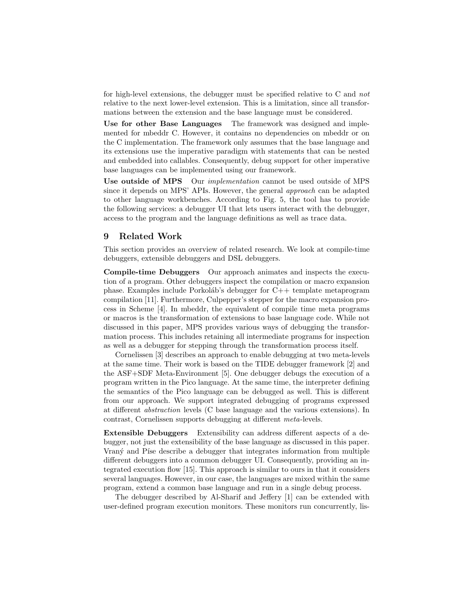for high-level extensions, the debugger must be specified relative to C and not relative to the next lower-level extension. This is a limitation, since all transformations between the extension and the base language must be considered.

Use for other Base Languages The framework was designed and implemented for mbeddr C. However, it contains no dependencies on mbeddr or on the C implementation. The framework only assumes that the base language and its extensions use the imperative paradigm with statements that can be nested and embedded into callables. Consequently, debug support for other imperative base languages can be implemented using our framework.

Use outside of MPS Our implementation cannot be used outside of MPS since it depends on MPS' APIs. However, the general approach can be adapted to other language workbenches. According to Fig. [5,](#page-6-1) the tool has to provide the following services: a debugger UI that lets users interact with the debugger, access to the program and the language definitions as well as trace data.

## <span id="page-11-0"></span>9 Related Work

This section provides an overview of related research. We look at compile-time debuggers, extensible debuggers and DSL debuggers.

Compile-time Debuggers Our approach animates and inspects the execution of a program. Other debuggers inspect the compilation or macro expansion phase. Examples include Porkoláb's debugger for  $C++$  template metaprogram compilation [\[11\]](#page-13-8). Furthermore, Culpepper's stepper for the macro expansion process in Scheme [\[4\]](#page-13-9). In mbeddr, the equivalent of compile time meta programs or macros is the transformation of extensions to base language code. While not discussed in this paper, MPS provides various ways of debugging the transformation process. This includes retaining all intermediate programs for inspection as well as a debugger for stepping through the transformation process itself.

Cornelissen [\[3\]](#page-13-10) describes an approach to enable debugging at two meta-levels at the same time. Their work is based on the TIDE debugger framework [\[2\]](#page-13-11) and the ASF+SDF Meta-Environment [\[5\]](#page-13-12). One debugger debugs the execution of a program written in the Pico language. At the same time, the interpreter defining the semantics of the Pico language can be debugged as well. This is different from our approach. We support integrated debugging of programs expressed at different abstraction levels (C base language and the various extensions). In contrast, Cornelissen supports debugging at different meta-levels.

Extensible Debuggers Extensibility can address different aspects of a debugger, not just the extensibility of the base language as discussed in this paper. Vraný and Píse describe a debugger that integrates information from multiple different debuggers into a common debugger UI. Consequently, providing an integrated execution flow [\[15\]](#page-13-13). This approach is similar to ours in that it considers several languages. However, in our case, the languages are mixed within the same program, extend a common base language and run in a single debug process.

The debugger described by Al-Sharif and Jeffery [\[1\]](#page-13-14) can be extended with user-defined program execution monitors. These monitors run concurrently, lis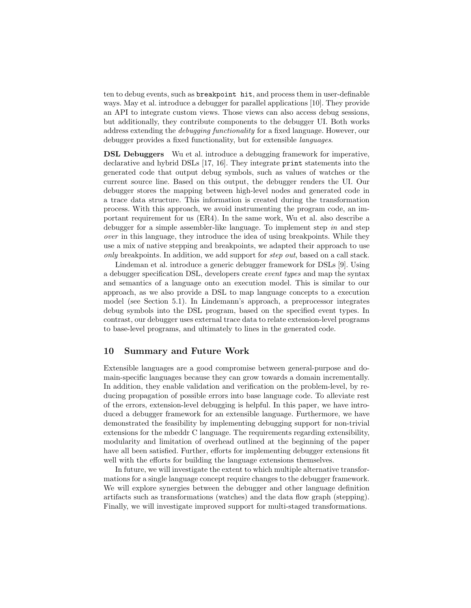ten to debug events, such as breakpoint hit, and process them in user-definable ways. May et al. introduce a debugger for parallel applications [\[10\]](#page-13-15). They provide an API to integrate custom views. Those views can also access debug sessions, but additionally, they contribute components to the debugger UI. Both works address extending the debugging functionality for a fixed language. However, our debugger provides a fixed functionality, but for extensible languages.

DSL Debuggers Wu et al. introduce a debugging framework for imperative, declarative and hybrid DSLs [\[17,](#page-13-16) [16\]](#page-13-6). They integrate print statements into the generated code that output debug symbols, such as values of watches or the current source line. Based on this output, the debugger renders the UI. Our debugger stores the mapping between high-level nodes and generated code in a trace data structure. This information is created during the transformation process. With this approach, we avoid instrumenting the program code, an important requirement for us (ER4). In the same work, Wu et al. also describe a debugger for a simple assembler-like language. To implement step in and step over in this language, they introduce the idea of using breakpoints. While they use a mix of native stepping and breakpoints, we adapted their approach to use only breakpoints. In addition, we add support for *step out*, based on a call stack.

Lindeman et al. introduce a generic debugger framework for DSLs [\[9\]](#page-13-5). Using a debugger specification DSL, developers create event types and map the syntax and semantics of a language onto an execution model. This is similar to our approach, as we also provide a DSL to map language concepts to a execution model (see Section [5.1\)](#page-4-1). In Lindemann's approach, a preprocessor integrates debug symbols into the DSL program, based on the specified event types. In contrast, our debugger uses external trace data to relate extension-level programs to base-level programs, and ultimately to lines in the generated code.

## <span id="page-12-0"></span>10 Summary and Future Work

Extensible languages are a good compromise between general-purpose and domain-specific languages because they can grow towards a domain incrementally. In addition, they enable validation and verification on the problem-level, by reducing propagation of possible errors into base language code. To alleviate rest of the errors, extension-level debugging is helpful. In this paper, we have introduced a debugger framework for an extensible language. Furthermore, we have demonstrated the feasibility by implementing debugging support for non-trivial extensions for the mbeddr C language. The requirements regarding extensibility, modularity and limitation of overhead outlined at the beginning of the paper have all been satisfied. Further, efforts for implementing debugger extensions fit well with the efforts for building the language extensions themselves.

In future, we will investigate the extent to which multiple alternative transformations for a single language concept require changes to the debugger framework. We will explore synergies between the debugger and other language definition artifacts such as transformations (watches) and the data flow graph (stepping). Finally, we will investigate improved support for multi-staged transformations.